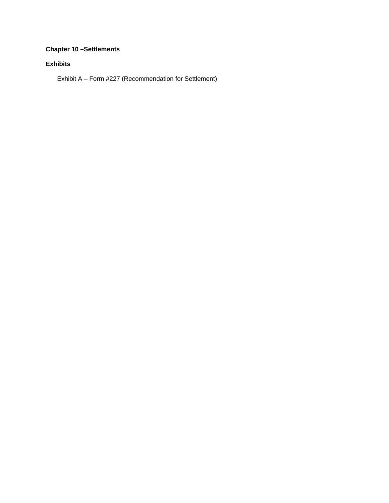## **Chapter 10 –Settlements**

### **Exhibits**

Exhibit A – Form #227 (Recommendation for Settlement)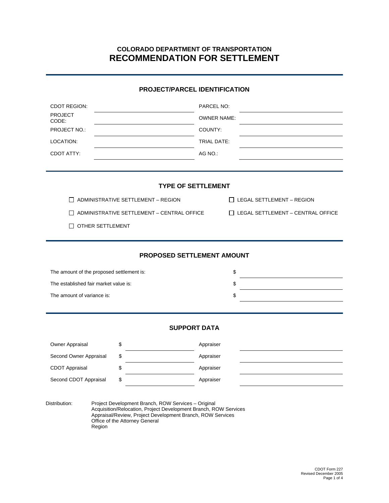# **COLORADO DEPARTMENT OF TRANSPORTATION RECOMMENDATION FOR SETTLEMENT**

#### **PROJECT/PARCEL IDENTIFICATION**

| <b>CDOT REGION:</b>                               |                            | PARCEL NO:<br><b>OWNER NAME:</b><br>COUNTY:<br>TRIAL DATE: |                                          |  |  |  |
|---------------------------------------------------|----------------------------|------------------------------------------------------------|------------------------------------------|--|--|--|
| <b>PROJECT</b><br>CODE:                           |                            |                                                            |                                          |  |  |  |
| PROJECT NO.:                                      |                            |                                                            |                                          |  |  |  |
| LOCATION:                                         |                            |                                                            |                                          |  |  |  |
| CDOT ATTY:                                        |                            | AG NO.:                                                    |                                          |  |  |  |
|                                                   |                            |                                                            |                                          |  |  |  |
|                                                   |                            |                                                            |                                          |  |  |  |
|                                                   | <b>TYPE OF SETTLEMENT</b>  |                                                            |                                          |  |  |  |
| $\Box$ ADMINISTRATIVE SETTLEMENT - REGION         |                            |                                                            | $\Box$ LEGAL SETTLEMENT – REGION         |  |  |  |
| $\Box$ ADMINISTRATIVE SETTLEMENT - CENTRAL OFFICE |                            |                                                            | $\Box$ LEGAL SETTLEMENT - CENTRAL OFFICE |  |  |  |
| OTHER SETTLEMENT                                  |                            |                                                            |                                          |  |  |  |
|                                                   |                            |                                                            |                                          |  |  |  |
|                                                   |                            |                                                            |                                          |  |  |  |
|                                                   | PROPOSED SETTLEMENT AMOUNT |                                                            |                                          |  |  |  |
| The amount of the proposed settlement is:         |                            | \$                                                         |                                          |  |  |  |
| The established fair market value is:             |                            |                                                            |                                          |  |  |  |
| The amount of variance is:                        |                            |                                                            |                                          |  |  |  |
|                                                   |                            |                                                            |                                          |  |  |  |
|                                                   |                            |                                                            |                                          |  |  |  |
| <b>SUPPORT DATA</b>                               |                            |                                                            |                                          |  |  |  |
| Owner Appraisal                                   | \$                         | Appraiser                                                  |                                          |  |  |  |
| Second Owner Appraisal                            | \$                         | Appraiser                                                  |                                          |  |  |  |
| <b>CDOT Appraisal</b>                             | \$                         | Appraiser                                                  |                                          |  |  |  |
| Second CDOT Appraisal                             | \$                         | Appraiser                                                  |                                          |  |  |  |
|                                                   |                            |                                                            |                                          |  |  |  |

Distribution: Project Development Branch, ROW Services – Original Acquisition/Relocation, Project Development Branch, ROW Services Appraisal/Review, Project Development Branch, ROW Services Office of the Attorney General Region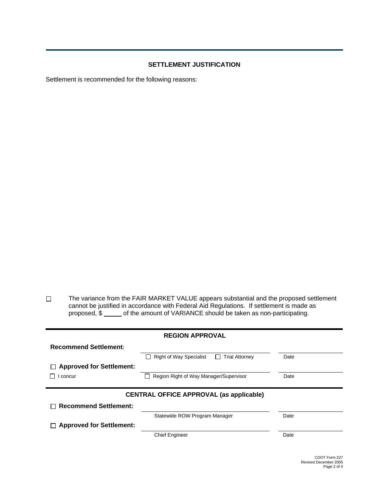#### **SETTLEMENT JUSTIFICATION**

Settlement is recommended for the following reasons:

 $\Box$ The variance from the FAIR MARKET VALUE appears substantial and the proposed settlement cannot be justified in accordance with Federal Aid Regulations. If settlement is made as proposed,  $\sin \frac{\pi x}{2}$  of the amount of VARIANCE should be taken as non-participating.

| <b>REGION APPROVAL</b>          |                                                                         |      |  |  |
|---------------------------------|-------------------------------------------------------------------------|------|--|--|
| <b>Recommend Settlement:</b>    |                                                                         |      |  |  |
|                                 | <b>Right of Way Specialist</b><br><b>Trial Attorney</b><br>$\mathsf{L}$ | Date |  |  |
| <b>Approved for Settlement:</b> |                                                                         |      |  |  |
| concur                          | Region Right of Way Manager/Supervisor                                  | Date |  |  |
|                                 |                                                                         |      |  |  |
|                                 |                                                                         |      |  |  |
|                                 | <b>CENTRAL OFFICE APPROVAL (as applicable)</b>                          |      |  |  |
| <b>Recommend Settlement:</b>    |                                                                         |      |  |  |
|                                 | Statewide ROW Program Manager                                           | Date |  |  |
| $\Box$ Approved for Settlement: |                                                                         |      |  |  |
|                                 | <b>Chief Engineer</b>                                                   | Date |  |  |